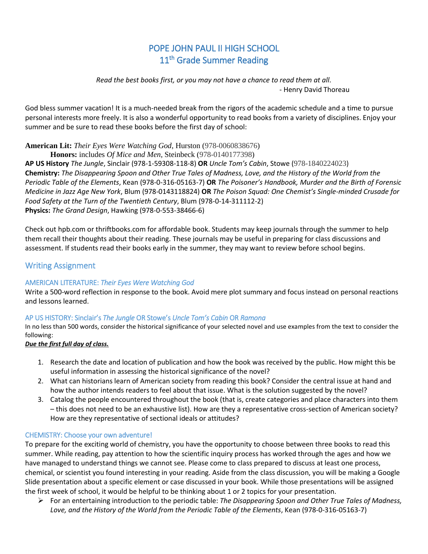# POPE JOHN PAUL II HIGH SCHOOL 11<sup>th</sup> Grade Summer Reading

*Read the best books first, or you may not have a chance to read them at all.* - Henry David Thoreau

God bless summer vacation! It is a much-needed break from the rigors of the academic schedule and a time to pursue personal interests more freely. It is also a wonderful opportunity to read books from a variety of disciplines. Enjoy your summer and be sure to read these books before the first day of school:

**American Lit:** *Their Eyes Were Watching God*, Hurston (978-0060838676)

**Honors:** includes *Of Mice and Men*, Steinbeck (978-0140177398)

**AP US History** *The Jungle*, Sinclair (978-1-59308-118-8) **OR** *Uncle Tom's Cabin*, Stowe (978-1840224023) **Chemistry:** *The Disappearing Spoon and Other True Tales of Madness, Love, and the History of the World from the Periodic Table of the Elements*, Kean (978-0-316-05163-7) **OR** *The Poisoner's Handbook, Murder and the Birth of Forensic Medicine in Jazz Age New York*, Blum (978-0143118824) **OR** *The Poison Squad: One Chemist's Single-minded Crusade for Food Safety at the Turn of the Twentieth Century*, Blum (978-0-14-311112-2) **Physics:** *The Grand Design*, Hawking (978-0-553-38466-6)

Check out hpb.com or thriftbooks.com for affordable book. Students may keep journals through the summer to help them recall their thoughts about their reading. These journals may be useful in preparing for class discussions and assessment. If students read their books early in the summer, they may want to review before school begins.

# Writing Assignment

## AMERICAN LITERATURE: *Their Eyes Were Watching God*

Write a 500-word reflection in response to the book. Avoid mere plot summary and focus instead on personal reactions and lessons learned.

## AP US HISTORY: Sinclair's *The Jungle* OR Stowe's *Uncle Tom's Cabin* OR *Ramona*

In no less than 500 words, consider the historical significance of your selected novel and use examples from the text to consider the following:

#### *Due the first full day of class.*

- 1. Research the date and location of publication and how the book was received by the public. How might this be useful information in assessing the historical significance of the novel?
- 2. What can historians learn of American society from reading this book? Consider the central issue at hand and how the author intends readers to feel about that issue. What is the solution suggested by the novel?
- 3. Catalog the people encountered throughout the book (that is, create categories and place characters into them – this does not need to be an exhaustive list). How are they a representative cross-section of American society? How are they representative of sectional ideals or attitudes?

## CHEMISTRY: Choose your own adventure!

To prepare for the exciting world of chemistry, you have the opportunity to choose between three books to read this summer. While reading, pay attention to how the scientific inquiry process has worked through the ages and how we have managed to understand things we cannot see. Please come to class prepared to discuss at least one process, chemical, or scientist you found interesting in your reading. Aside from the class discussion, you will be making a Google Slide presentation about a specific element or case discussed in your book. While those presentations will be assigned the first week of school, it would be helpful to be thinking about 1 or 2 topics for your presentation.

➢ For an entertaining introduction to the periodic table: *The Disappearing Spoon and Other True Tales of Madness, Love, and the History of the World from the Periodic Table of the Elements*, Kean (978-0-316-05163-7)